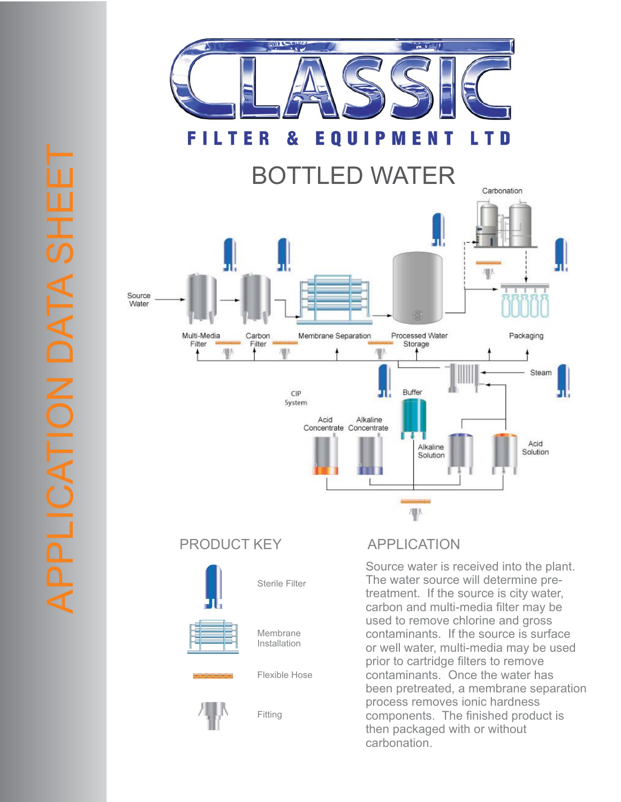

## PRODUCT KEY APPLICATION



Source water is received into the plant. The water source will determine pretreatment. If the source is city water, carbon and multi-media filter may be used to remove chlorine and gross contaminants. If the source is surface or well water, multi-media may be used prior to cartridge filters to remove contaminants. Once the water has been pretreated, a membrane separation process removes ionic hardness components. The finished product is then packaged with or without carbonation.